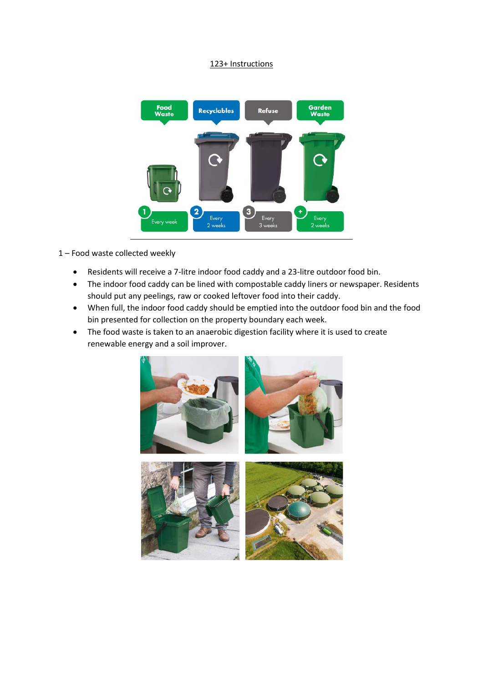## 123+ Instructions



1 – Food waste collected weekly

- Residents will receive a 7-litre indoor food caddy and a 23-litre outdoor food bin.
- The indoor food caddy can be lined with compostable caddy liners or newspaper. Residents should put any peelings, raw or cooked leftover food into their caddy.
- When full, the indoor food caddy should be emptied into the outdoor food bin and the food bin presented for collection on the property boundary each week.
- The food waste is taken to an anaerobic digestion facility where it is used to create renewable energy and a soil improver.